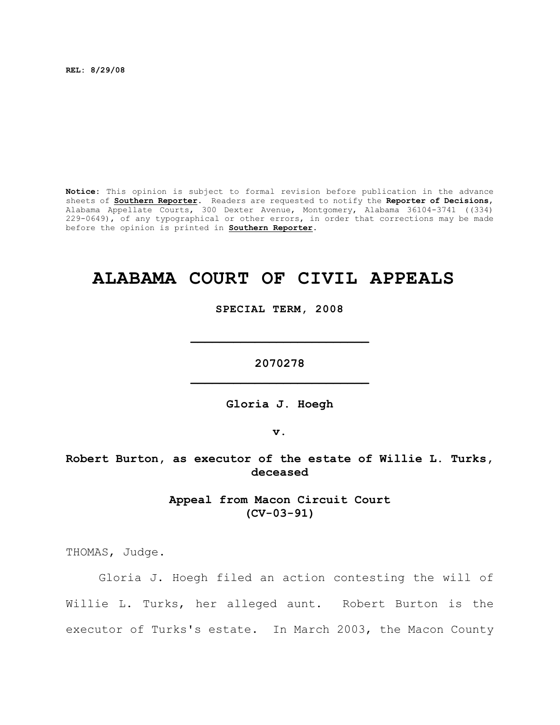**REL: 8/29/08**

**Notice:** This opinion is subject to formal revision before publication in the advance sheets of **Southern Reporter**. Readers are requested to notify the **Reporter of Decisions**, Alabama Appellate Courts, 300 Dexter Avenue, Montgomery, Alabama 36104-3741 ((334) 229-0649), of any typographical or other errors, in order that corrections may be made before the opinion is printed in **Southern Reporter**.

# **ALABAMA COURT OF CIVIL APPEALS**

**SPECIAL TERM, 2008**

**\_\_\_\_\_\_\_\_\_\_\_\_\_\_\_\_\_\_\_\_\_\_\_\_\_**

**2070278 \_\_\_\_\_\_\_\_\_\_\_\_\_\_\_\_\_\_\_\_\_\_\_\_\_**

**Gloria J. Hoegh**

**v.**

## **Robert Burton, as executor of the estate of Willie L. Turks, deceased**

**Appeal from Macon Circuit Court (CV-03-91)**

THOMAS, Judge.

Gloria J. Hoegh filed an action contesting the will of Willie L. Turks, her alleged aunt. Robert Burton is the executor of Turks's estate. In March 2003, the Macon County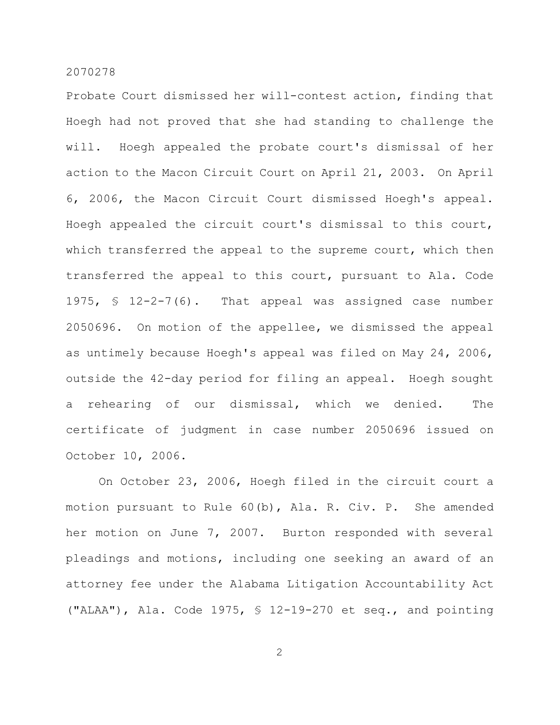Probate Court dismissed her will-contest action, finding that Hoegh had not proved that she had standing to challenge the will. Hoegh appealed the probate court's dismissal of her action to the Macon Circuit Court on April 21, 2003. On April 6, 2006, the Macon Circuit Court dismissed Hoegh's appeal. Hoegh appealed the circuit court's dismissal to this court, which transferred the appeal to the supreme court, which then transferred the appeal to this court, pursuant to Ala. Code 1975, § 12-2-7(6). That appeal was assigned case number 2050696. On motion of the appellee, we dismissed the appeal as untimely because Hoegh's appeal was filed on May 24, 2006, outside the 42-day period for filing an appeal. Hoegh sought a rehearing of our dismissal, which we denied. The certificate of judgment in case number 2050696 issued on October 10, 2006.

On October 23, 2006, Hoegh filed in the circuit court a motion pursuant to Rule 60(b), Ala. R. Civ. P. She amended her motion on June 7, 2007. Burton responded with several pleadings and motions, including one seeking an award of an attorney fee under the Alabama Litigation Accountability Act ("ALAA"), Ala. Code 1975, § 12-19-270 et seq., and pointing

2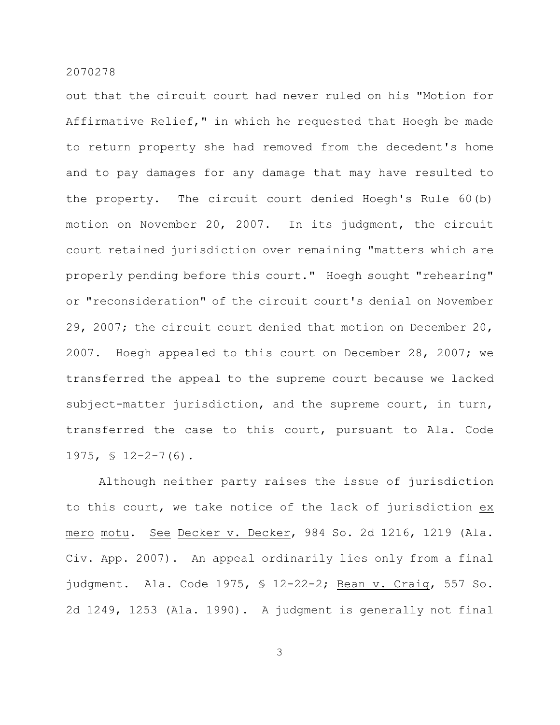out that the circuit court had never ruled on his "Motion for Affirmative Relief," in which he requested that Hoegh be made to return property she had removed from the decedent's home and to pay damages for any damage that may have resulted to the property. The circuit court denied Hoegh's Rule 60(b) motion on November 20, 2007. In its judgment, the circuit court retained jurisdiction over remaining "matters which are properly pending before this court." Hoegh sought "rehearing" or "reconsideration" of the circuit court's denial on November 29, 2007; the circuit court denied that motion on December 20, 2007. Hoegh appealed to this court on December 28, 2007; we transferred the appeal to the supreme court because we lacked subject-matter jurisdiction, and the supreme court, in turn, transferred the case to this court, pursuant to Ala. Code  $1975, \,$  \$  $12-2-7(6)$ .

Although neither party raises the issue of jurisdiction to this court, we take notice of the lack of jurisdiction ex mero motu. See Decker v. Decker, 984 So. 2d 1216, 1219 (Ala. Civ. App. 2007). An appeal ordinarily lies only from a final judgment. Ala. Code 1975, § 12-22-2; Bean v. Craig, 557 So. 2d 1249, 1253 (Ala. 1990). A judgment is generally not final

3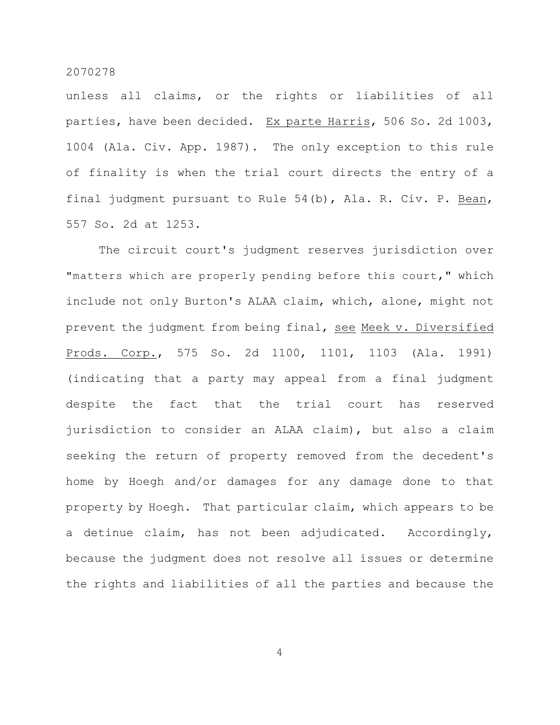unless all claims, or the rights or liabilities of all parties, have been decided. Ex parte Harris, 506 So. 2d 1003, 1004 (Ala. Civ. App. 1987). The only exception to this rule of finality is when the trial court directs the entry of a final judgment pursuant to Rule 54(b), Ala. R. Civ. P. Bean, 557 So. 2d at 1253.

The circuit court's judgment reserves jurisdiction over "matters which are properly pending before this court," which include not only Burton's ALAA claim, which, alone, might not prevent the judgment from being final, see Meek v. Diversified Prods. Corp., 575 So. 2d 1100, 1101, 1103 (Ala. 1991) (indicating that a party may appeal from a final judgment despite the fact that the trial court has reserved jurisdiction to consider an ALAA claim), but also a claim seeking the return of property removed from the decedent's home by Hoegh and/or damages for any damage done to that property by Hoegh. That particular claim, which appears to be a detinue claim, has not been adjudicated. Accordingly, because the judgment does not resolve all issues or determine the rights and liabilities of all the parties and because the

4